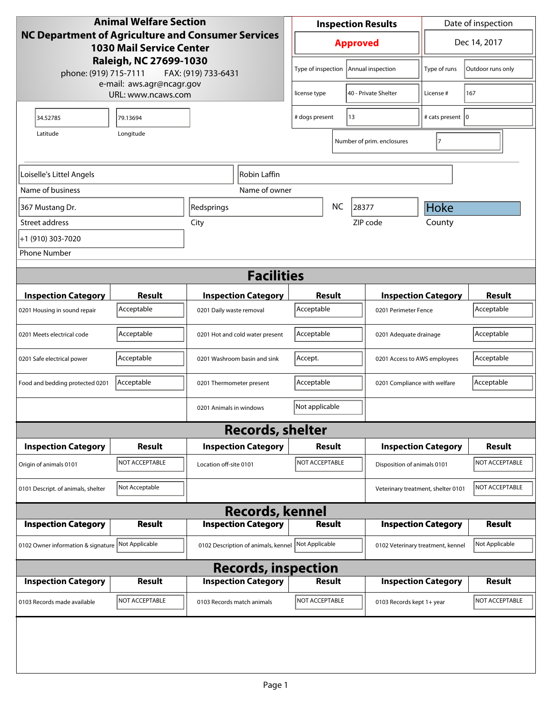| <b>Animal Welfare Section</b>                                                                                                                                   |                |                                     | <b>Inspection Results</b>                  |                                      |                    |                                    | Date of inspection         |                   |
|-----------------------------------------------------------------------------------------------------------------------------------------------------------------|----------------|-------------------------------------|--------------------------------------------|--------------------------------------|--------------------|------------------------------------|----------------------------|-------------------|
| NC Department of Agriculture and Consumer Services<br><b>1030 Mail Service Center</b><br>Raleigh, NC 27699-1030<br>phone: (919) 715-7111<br>FAX: (919) 733-6431 |                |                                     | <b>Approved</b>                            |                                      |                    |                                    |                            | Dec 14, 2017      |
|                                                                                                                                                                 |                |                                     | Type of inspection                         |                                      |                    | Annual inspection                  | Type of runs               | Outdoor runs only |
| e-mail: aws.agr@ncagr.gov<br>URL: www.ncaws.com                                                                                                                 |                | license type                        |                                            | 40 - Private Shelter                 | License #          | 167                                |                            |                   |
| 34.52785                                                                                                                                                        | 79.13694       |                                     | # dogs present<br>13                       |                                      | # cats present   0 |                                    |                            |                   |
| Latitude                                                                                                                                                        | Longitude      |                                     |                                            |                                      |                    | Number of prim. enclosures         | 17                         |                   |
| Loiselle's Littel Angels<br>Robin Laffin                                                                                                                        |                |                                     |                                            |                                      |                    |                                    |                            |                   |
| Name of business                                                                                                                                                |                | Name of owner                       |                                            |                                      |                    |                                    |                            |                   |
| 367 Mustang Dr.                                                                                                                                                 |                | Redsprings                          |                                            | NC                                   | 28377              |                                    | Hoke                       |                   |
| Street address                                                                                                                                                  |                | City                                |                                            |                                      | ZIP code           |                                    | County                     |                   |
| +1 (910) 303-7020                                                                                                                                               |                |                                     |                                            |                                      |                    |                                    |                            |                   |
| <b>Phone Number</b>                                                                                                                                             |                |                                     |                                            |                                      |                    |                                    |                            |                   |
|                                                                                                                                                                 |                | <b>Facilities</b>                   |                                            |                                      |                    |                                    |                            |                   |
| <b>Inspection Category</b>                                                                                                                                      | <b>Result</b>  | <b>Inspection Category</b>          | Result                                     |                                      |                    |                                    | <b>Inspection Category</b> | <b>Result</b>     |
| 0201 Housing in sound repair                                                                                                                                    | Acceptable     | 0201 Daily waste removal            | Acceptable                                 |                                      |                    | 0201 Perimeter Fence               |                            | Acceptable        |
| 0201 Meets electrical code                                                                                                                                      | Acceptable     | 0201 Hot and cold water present     |                                            | Acceptable<br>0201 Adequate drainage |                    |                                    | Acceptable                 |                   |
| 0201 Safe electrical power                                                                                                                                      | Acceptable     | 0201 Washroom basin and sink        | Accept.<br>0201 Access to AWS employees    |                                      |                    | Acceptable                         |                            |                   |
| Food and bedding protected 0201                                                                                                                                 | Acceptable     | 0201 Thermometer present            | Acceptable<br>0201 Compliance with welfare |                                      |                    | Acceptable                         |                            |                   |
|                                                                                                                                                                 |                | 0201 Animals in windows             | Not applicable                             |                                      |                    |                                    |                            |                   |
|                                                                                                                                                                 |                | <b>Records, shelter</b>             |                                            |                                      |                    |                                    |                            |                   |
| <b>Inspection Category</b>                                                                                                                                      | Result         | <b>Inspection Category</b>          | Result                                     |                                      |                    |                                    | <b>Inspection Category</b> | <b>Result</b>     |
| Origin of animals 0101                                                                                                                                          | NOT ACCEPTABLE | Location off-site 0101              | NOT ACCEPTABLE                             |                                      |                    | Disposition of animals 0101        |                            | NOT ACCEPTABLE    |
| 0101 Descript. of animals, shelter                                                                                                                              | Not Acceptable |                                     |                                            |                                      |                    | Veterinary treatment, shelter 0101 |                            | NOT ACCEPTABLE    |
| <b>Records, kennel</b>                                                                                                                                          |                |                                     |                                            |                                      |                    |                                    |                            |                   |
| <b>Inspection Category</b>                                                                                                                                      | <b>Result</b>  | <b>Inspection Category</b>          | <b>Result</b>                              |                                      |                    |                                    | <b>Inspection Category</b> | <b>Result</b>     |
| 0102 Owner information & signature                                                                                                                              | Not Applicable | 0102 Description of animals, kennel | Not Applicable                             |                                      |                    | 0102 Veterinary treatment, kennel  |                            | Not Applicable    |
| <b>Records, inspection</b>                                                                                                                                      |                |                                     |                                            |                                      |                    |                                    |                            |                   |
| <b>Inspection Category</b>                                                                                                                                      | <b>Result</b>  | <b>Inspection Category</b>          | <b>Result</b>                              |                                      |                    |                                    | <b>Inspection Category</b> | <b>Result</b>     |
| 0103 Records made available                                                                                                                                     | NOT ACCEPTABLE | 0103 Records match animals          | NOT ACCEPTABLE                             |                                      |                    | 0103 Records kept 1+ year          |                            | NOT ACCEPTABLE    |
|                                                                                                                                                                 |                |                                     |                                            |                                      |                    |                                    |                            |                   |
|                                                                                                                                                                 |                |                                     |                                            |                                      |                    |                                    |                            |                   |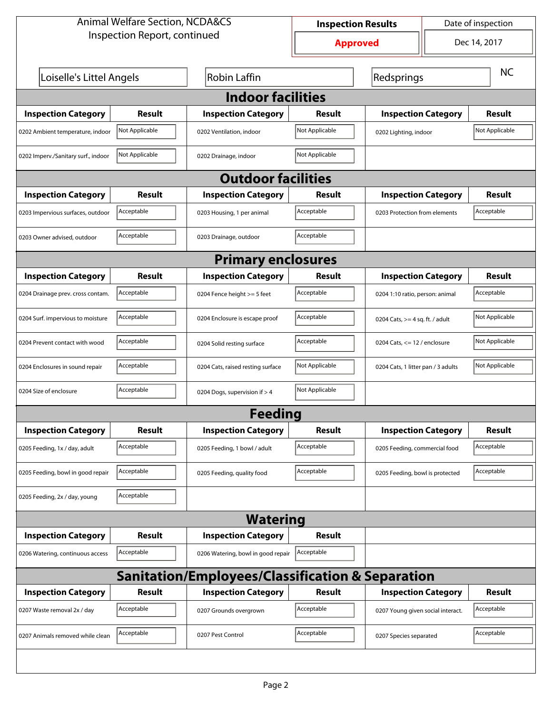| <b>Animal Welfare Section, NCDA&amp;CS</b>       |                                                 |                                    | Date of inspection<br><b>Inspection Results</b> |                                    |              |                |  |
|--------------------------------------------------|-------------------------------------------------|------------------------------------|-------------------------------------------------|------------------------------------|--------------|----------------|--|
|                                                  | Inspection Report, continued<br><b>Approved</b> |                                    |                                                 |                                    | Dec 14, 2017 |                |  |
| Loiselle's Littel Angels                         |                                                 | <b>Robin Laffin</b>                | Redsprings                                      |                                    |              | <b>NC</b>      |  |
| <b>Indoor facilities</b>                         |                                                 |                                    |                                                 |                                    |              |                |  |
| <b>Inspection Category</b>                       | Result                                          | <b>Inspection Category</b>         | Result                                          | <b>Inspection Category</b>         |              | <b>Result</b>  |  |
| 0202 Ambient temperature, indoor                 | Not Applicable                                  | 0202 Ventilation, indoor           | Not Applicable                                  | 0202 Lighting, indoor              |              | Not Applicable |  |
| 0202 Imperv./Sanitary surf., indoor              | Not Applicable                                  | 0202 Drainage, indoor              | Not Applicable                                  |                                    |              |                |  |
|                                                  |                                                 | <b>Outdoor facilities</b>          |                                                 |                                    |              |                |  |
| <b>Inspection Category</b>                       | Result                                          | <b>Inspection Category</b>         | Result                                          | <b>Inspection Category</b>         |              | <b>Result</b>  |  |
| 0203 Impervious surfaces, outdoor                | Acceptable                                      | 0203 Housing, 1 per animal         | Acceptable                                      | 0203 Protection from elements      |              | Acceptable     |  |
| 0203 Owner advised, outdoor                      | Acceptable                                      | 0203 Drainage, outdoor             | Acceptable                                      |                                    |              |                |  |
| <b>Primary enclosures</b>                        |                                                 |                                    |                                                 |                                    |              |                |  |
| <b>Inspection Category</b>                       | Result                                          | <b>Inspection Category</b>         | Result                                          | <b>Inspection Category</b>         |              | Result         |  |
| 0204 Drainage prev. cross contam.                | Acceptable                                      | 0204 Fence height >= 5 feet        | Acceptable                                      | 0204 1:10 ratio, person: animal    |              | Acceptable     |  |
| 0204 Surf. impervious to moisture                | Acceptable                                      | 0204 Enclosure is escape proof     | Acceptable                                      | 0204 Cats, $>=$ 4 sq. ft. / adult  |              | Not Applicable |  |
| 0204 Prevent contact with wood                   | Acceptable                                      | 0204 Solid resting surface         | Acceptable                                      | 0204 Cats, $\le$ 12 / enclosure    |              | Not Applicable |  |
| 0204 Enclosures in sound repair                  | Acceptable                                      | 0204 Cats, raised resting surface  | Not Applicable                                  | 0204 Cats, 1 litter pan / 3 adults |              | Not Applicable |  |
| 0204 Size of enclosure                           | Acceptable                                      | 0204 Dogs, supervision if > 4      | Not Applicable                                  |                                    |              |                |  |
|                                                  |                                                 | Feedina                            |                                                 |                                    |              |                |  |
| <b>Inspection Category</b>                       | <b>Result</b>                                   | <b>Inspection Category</b>         | <b>Result</b>                                   | <b>Inspection Category</b>         |              | <b>Result</b>  |  |
| 0205 Feeding, 1x / day, adult                    | Acceptable                                      | 0205 Feeding, 1 bowl / adult       | Acceptable                                      | 0205 Feeding, commercial food      |              | Acceptable     |  |
| 0205 Feeding, bowl in good repair                | Acceptable                                      | 0205 Feeding, quality food         | Acceptable                                      | 0205 Feeding, bowl is protected    |              | Acceptable     |  |
| 0205 Feeding, 2x / day, young                    | Acceptable                                      |                                    |                                                 |                                    |              |                |  |
| <b>Watering</b>                                  |                                                 |                                    |                                                 |                                    |              |                |  |
| <b>Inspection Category</b>                       | <b>Result</b>                                   | <b>Inspection Category</b>         | <b>Result</b>                                   |                                    |              |                |  |
| 0206 Watering, continuous access                 | Acceptable                                      | 0206 Watering, bowl in good repair | Acceptable                                      |                                    |              |                |  |
| Sanitation/Employees/Classification & Separation |                                                 |                                    |                                                 |                                    |              |                |  |
| <b>Inspection Category</b>                       | <b>Result</b>                                   | <b>Inspection Category</b>         | <b>Result</b>                                   | <b>Inspection Category</b>         |              | <b>Result</b>  |  |
| 0207 Waste removal 2x / day                      | Acceptable                                      | 0207 Grounds overgrown             | Acceptable                                      | 0207 Young given social interact.  |              | Acceptable     |  |
| 0207 Animals removed while clean                 | Acceptable                                      | 0207 Pest Control                  | Acceptable                                      | 0207 Species separated             |              | Acceptable     |  |
|                                                  |                                                 |                                    |                                                 |                                    |              |                |  |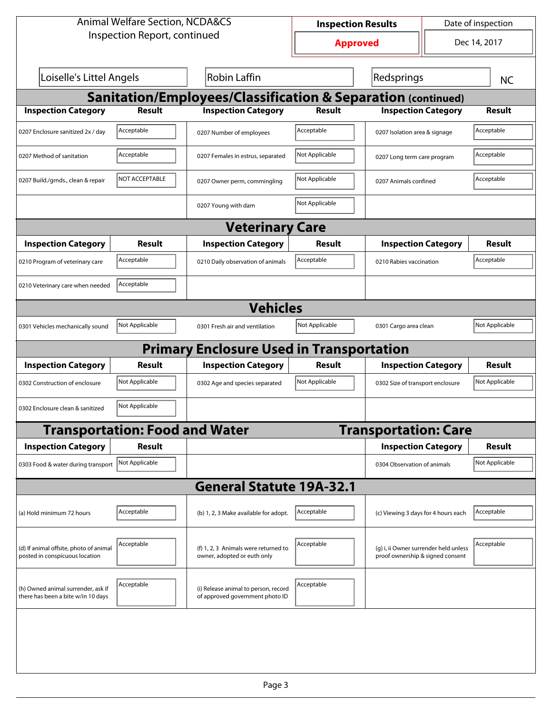| <b>Animal Welfare Section, NCDA&amp;CS</b>                               |                                                        |                                                                         | Date of inspection<br><b>Inspection Results</b> |                                                                           |           |                |  |  |
|--------------------------------------------------------------------------|--------------------------------------------------------|-------------------------------------------------------------------------|-------------------------------------------------|---------------------------------------------------------------------------|-----------|----------------|--|--|
| Inspection Report, continued                                             |                                                        |                                                                         |                                                 | Dec 14, 2017<br><b>Approved</b>                                           |           |                |  |  |
|                                                                          | Loiselle's Littel Angels<br>Robin Laffin<br>Redsprings |                                                                         |                                                 |                                                                           | <b>NC</b> |                |  |  |
| <b>Sanitation/Employees/Classification &amp; Separation (continued)</b>  |                                                        |                                                                         |                                                 |                                                                           |           |                |  |  |
| <b>Inspection Category</b>                                               | Result                                                 | <b>Inspection Category</b>                                              | Result                                          | <b>Inspection Category</b>                                                |           | Result         |  |  |
| 0207 Enclosure sanitized 2x / day                                        | Acceptable                                             | 0207 Number of employees                                                | Acceptable                                      | 0207 Isolation area & signage                                             |           | Acceptable     |  |  |
| 0207 Method of sanitation                                                | Acceptable                                             | 0207 Females in estrus, separated                                       | Not Applicable                                  | 0207 Long term care program                                               |           | Acceptable     |  |  |
| 0207 Build./grnds., clean & repair                                       | NOT ACCEPTABLE                                         | 0207 Owner perm, commingling                                            | Not Applicable                                  | 0207 Animals confined                                                     |           | Acceptable     |  |  |
|                                                                          |                                                        | 0207 Young with dam                                                     | Not Applicable                                  |                                                                           |           |                |  |  |
| <b>Veterinary Care</b>                                                   |                                                        |                                                                         |                                                 |                                                                           |           |                |  |  |
| <b>Inspection Category</b>                                               | Result                                                 | <b>Inspection Category</b>                                              | Result                                          | <b>Inspection Category</b>                                                |           | <b>Result</b>  |  |  |
| 0210 Program of veterinary care                                          | Acceptable                                             | 0210 Daily observation of animals                                       | Acceptable                                      | 0210 Rabies vaccination                                                   |           | Acceptable     |  |  |
| 0210 Veterinary care when needed                                         | Acceptable                                             |                                                                         |                                                 |                                                                           |           |                |  |  |
|                                                                          |                                                        | <b>Vehicles</b>                                                         |                                                 |                                                                           |           |                |  |  |
| 0301 Vehicles mechanically sound                                         | Not Applicable                                         | 0301 Fresh air and ventilation                                          | Not Applicable                                  | 0301 Cargo area clean                                                     |           | Not Applicable |  |  |
|                                                                          |                                                        | <b>Primary Enclosure Used in Transportation</b>                         |                                                 |                                                                           |           |                |  |  |
| <b>Inspection Category</b>                                               | Result                                                 | <b>Inspection Category</b>                                              | Result                                          | <b>Inspection Category</b>                                                |           | Result         |  |  |
| 0302 Construction of enclosure                                           | Not Applicable                                         | 0302 Age and species separated                                          | Not Applicable                                  | 0302 Size of transport enclosure                                          |           | Not Applicable |  |  |
| 0302 Enclosure clean & sanitized                                         | Not Applicable                                         |                                                                         |                                                 |                                                                           |           |                |  |  |
|                                                                          | <b>Transportation: Food and Water</b>                  |                                                                         |                                                 | <b>Transportation: Care</b>                                               |           |                |  |  |
| <b>Inspection Category</b>                                               | <b>Result</b>                                          |                                                                         |                                                 | <b>Inspection Category</b>                                                |           | Result         |  |  |
| 0303 Food & water during transport Not Applicable                        |                                                        |                                                                         |                                                 | 0304 Observation of animals                                               |           | Not Applicable |  |  |
|                                                                          |                                                        | <b>General Statute 19A-32.1</b>                                         |                                                 |                                                                           |           |                |  |  |
| (a) Hold minimum 72 hours                                                | Acceptable                                             | (b) 1, 2, 3 Make available for adopt.                                   | Acceptable                                      | (c) Viewing 3 days for 4 hours each                                       |           | Acceptable     |  |  |
| (d) If animal offsite, photo of animal<br>posted in conspicuous location | Acceptable                                             | (f) 1, 2, 3 Animals were returned to<br>owner, adopted or euth only     | Acceptable                                      | (g) i, ii Owner surrender held unless<br>proof ownership & signed consent |           | Acceptable     |  |  |
| (h) Owned animal surrender, ask if<br>there has been a bite w/in 10 days | Acceptable                                             | (i) Release animal to person, record<br>of approved government photo ID | Acceptable                                      |                                                                           |           |                |  |  |
|                                                                          |                                                        |                                                                         |                                                 |                                                                           |           |                |  |  |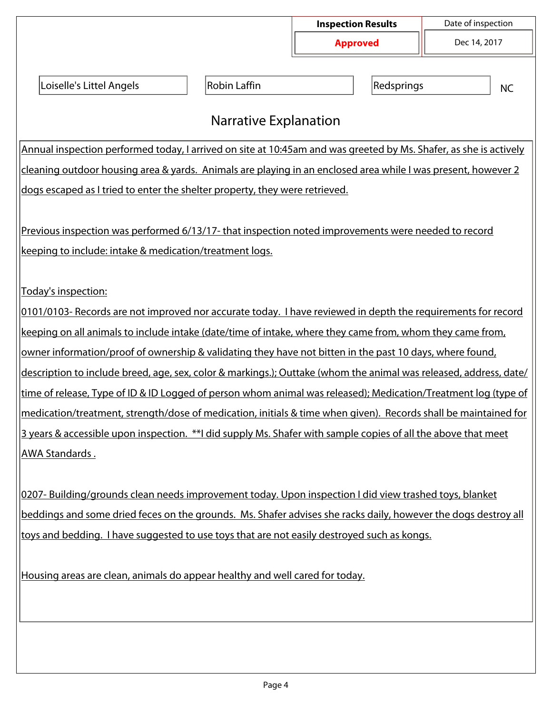|                                                                                                                   |                     | <b>Inspection Results</b> | Date of inspection |  |  |  |  |
|-------------------------------------------------------------------------------------------------------------------|---------------------|---------------------------|--------------------|--|--|--|--|
|                                                                                                                   |                     | <b>Approved</b>           | Dec 14, 2017       |  |  |  |  |
| Loiselle's Littel Angels                                                                                          | <b>Robin Laffin</b> | Redsprings                | <b>NC</b>          |  |  |  |  |
| <b>Narrative Explanation</b>                                                                                      |                     |                           |                    |  |  |  |  |
| Annual inspection performed today, I arrived on site at 10:45am and was greeted by Ms. Shafer, as she is actively |                     |                           |                    |  |  |  |  |
| cleaning outdoor housing area & yards. Animals are playing in an enclosed area while I was present, however 2     |                     |                           |                    |  |  |  |  |
| dogs escaped as I tried to enter the shelter property, they were retrieved.                                       |                     |                           |                    |  |  |  |  |
|                                                                                                                   |                     |                           |                    |  |  |  |  |
| Previous inspection was performed 6/13/17- that inspection noted improvements were needed to record               |                     |                           |                    |  |  |  |  |
| keeping to include: intake & medication/treatment logs.                                                           |                     |                           |                    |  |  |  |  |
|                                                                                                                   |                     |                           |                    |  |  |  |  |
| Today's inspection:                                                                                               |                     |                           |                    |  |  |  |  |
| 0101/0103- Records are not improved nor accurate today. I have reviewed in depth the requirements for record      |                     |                           |                    |  |  |  |  |
| keeping on all animals to include intake (date/time of intake, where they came from, whom they came from,         |                     |                           |                    |  |  |  |  |
| owner information/proof of ownership & validating they have not bitten in the past 10 days, where found,          |                     |                           |                    |  |  |  |  |
| description to include breed, age, sex, color & markings.); Outtake (whom the animal was released, address, date/ |                     |                           |                    |  |  |  |  |
| time of release, Type of ID & ID Logged of person whom animal was released); Medication/Treatment log (type of    |                     |                           |                    |  |  |  |  |
| medication/treatment, strength/dose of medication, initials & time when given). Records shall be maintained for   |                     |                           |                    |  |  |  |  |
| 3 years & accessible upon inspection. **I did supply Ms. Shafer with sample copies of all the above that meet     |                     |                           |                    |  |  |  |  |
| <u>AWA Standards .</u>                                                                                            |                     |                           |                    |  |  |  |  |
|                                                                                                                   |                     |                           |                    |  |  |  |  |
| 0207- Building/grounds clean needs improvement today. Upon inspection I did view trashed toys, blanket            |                     |                           |                    |  |  |  |  |
| beddings and some dried feces on the grounds. Ms. Shafer advises she racks daily, however the dogs destroy all    |                     |                           |                    |  |  |  |  |
| toys and bedding. I have suggested to use toys that are not easily destroyed such as kongs.                       |                     |                           |                    |  |  |  |  |
|                                                                                                                   |                     |                           |                    |  |  |  |  |
| Housing areas are clean, animals do appear healthy and well cared for today.                                      |                     |                           |                    |  |  |  |  |
|                                                                                                                   |                     |                           |                    |  |  |  |  |